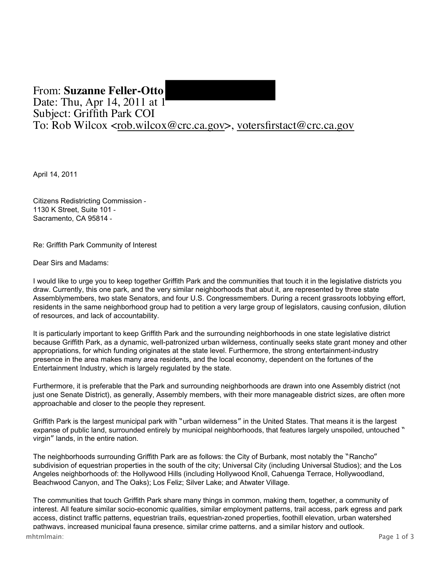## From: **Suzanne Feller-Otto**  Date: Thu, Apr 14, 2011 at 1 Subject: Griffith Park COI To: Rob Wilcox <rob.wilcox@crc.ca.gov>, votersfirstact@crc.ca.gov

April 14, 2011

 1130 K Street, Suite 101 Sacramento, CA 95814 Citizens Redistricting Commission

Re: Griffith Park Community of Interest

Dear Sirs and Madams:

 I would like to urge you to keep together Griffith Park and the communities that touch it in the legislative districts you draw. Currently, this one park, and the very similar neighborhoods that abut it, are represented by three state Assemblymembers, two state Senators, and four U.S. Congressmembers. During a recent grassroots lobbying effort, residents in the same neighborhood group had to petition a very large group of legislators, causing confusion, dilution of resources, and lack of accountability.

 It is particularly important to keep Griffith Park and the surrounding neighborhoods in one state legislative district because Griffith Park, as a dynamic, well-patronized urban wilderness, continually seeks state grant money and other appropriations, for which funding originates at the state level. Furthermore, the strong entertainment-industry presence in the area makes many area residents, and the local economy, dependent on the fortunes of the Entertainment Industry, which is largely regulated by the state.

 Furthermore, it is preferable that the Park and surrounding neighborhoods are drawn into one Assembly district (not just one Senate District), as generally, Assembly members, with their more manageable district sizes, are often more approachable and closer to the people they represent.

 Griffith Park is the largest municipal park with "urban wilderness" in the United States. That means it is the largest expanse of public land, surrounded entirely by municipal neighborhoods, that features largely unspoiled, untouched " virgin" lands, in the entire nation.

 The neighborhoods surrounding Griffith Park are as follows: the City of Burbank, most notably the "Rancho" subdivision of equestrian properties in the south of the city; Universal City (including Universal Studios); and the Los Angeles neighborhoods of: the Hollywood Hills (including Hollywood Knoll, Cahuenga Terrace, Hollywoodland, Beachwood Canyon, and The Oaks); Los Feliz; Silver Lake; and Atwater Village.

 The communities that touch Griffith Park share many things in common, making them, together, a community of interest. All feature similar socio-economic qualities, similar employment patterns, trail access, park egress and park access, distinct traffic patterns, equestrian trails, equestrian-zoned properties, foothill elevation, urban watershed pathways, increased municipal fauna presence, similar crime patterns, and a similar history and outlook. mhtmlmain: Page 1 of 3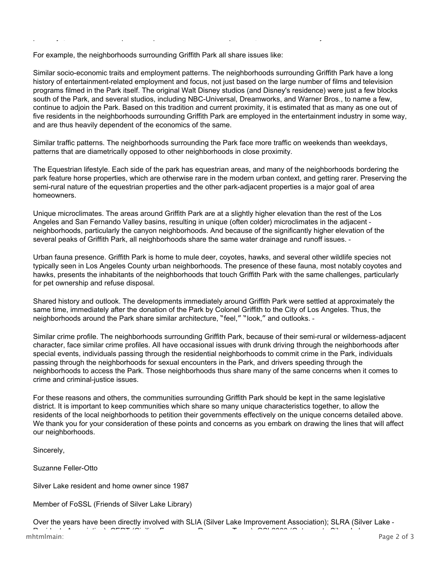For example, the neighborhoods surrounding Griffith Park all share issues like:

 Similar socio-economic traits and employment patterns. The neighborhoods surrounding Griffith Park have a long history of entertainment-related employment and focus, not just based on the large number of films and television programs filmed in the Park itself. The original Walt Disney studios (and Disney's residence) were just a few blocks south of the Park, and several studios, including NBC-Universal, Dreamworks, and Warner Bros., to name a few, continue to adjoin the Park. Based on this tradition and current proximity, it is estimated that as many as one out of five residents in the neighborhoods surrounding Griffith Park are employed in the entertainment industry in some way, and are thus heavily dependent of the economics of the same.

athwa increased munici al fauna resence similar crime attern and a similar histo and outlook.

produced by the product of the system of the system of the system of the system of the system of the system of  $\mathcal{L}_\mathbf{z}$ 

 Similar traffic patterns. The neighborhoods surrounding the Park face more traffic on weekends than weekdays, patterns that are diametrically opposed to other neighborhoods in close proximity.

 The Equestrian lifestyle. Each side of the park has equestrian areas, and many of the neighborhoods bordering the park feature horse properties, which are otherwise rare in the modern urban context, and getting rarer. Preserving the semi-rural nature of the equestrian properties and the other park-adjacent properties is a major goal of area homeowners.

 Unique microclimates. The areas around Griffith Park are at a slightly higher elevation than the rest of the Los Angeles and San Fernando Valley basins, resulting in unique (often colder) microclimates in the adjacent neighborhoods, particularly the canyon neighborhoods. And because of the significantly higher elevation of the several peaks of Griffith Park, all neighborhoods share the same water drainage and runoff issues.

 Urban fauna presence. Griffith Park is home to mule deer, coyotes, hawks, and several other wildlife species not typically seen in Los Angeles County urban neighborhoods. The presence of these fauna, most notably coyotes and hawks, presents the inhabitants of the neighborhoods that touch Griffith Park with the same challenges, particularly for pet ownership and refuse disposal.

 Shared history and outlook. The developments immediately around Griffith Park were settled at approximately the same time, immediately after the donation of the Park by Colonel Griffith to the City of Los Angeles. Thus, the neighborhoods around the Park share similar architecture, "feel," "look," and outlooks.

 Similar crime profile. The neighborhoods surrounding Griffith Park, because of their semi-rural or wilderness-adjacent character, face similar crime profiles. All have occasional issues with drunk driving through the neighborhoods after special events, individuals passing through the residential neighborhoods to commit crime in the Park, individuals passing through the neighborhoods for sexual encounters in the Park, and drivers speeding through the neighborhoods to access the Park. Those neighborhoods thus share many of the same concerns when it comes to crime and criminal-justice issues.

 For these reasons and others, the communities surrounding Griffith Park should be kept in the same legislative district. It is important to keep communities which share so many unique characteristics together, to allow the residents of the local neighborhoods to petition their governments effectively on the unique concerns detailed above. We thank you for your consideration of these points and concerns as you embark on drawing the lines that will affect our neighborhoods.

Sincerely,

Suzanne Feller-Otto

Silver Lake resident and home owner since 1987

Member of FoSSL (Friends of Silver Lake Library)

e en s a on an regeler en s an regeler en s an regeler en s an regeler en s an regeler en som an regeler en s<br>De verkalige en skapen en skapen en skapen en skapen en skapen en skapen en skapen en skapen en skapen en skap Over the years have been directly involved with SLIA (Silver Lake Improvement Association); SLRA (Silver Lake R sid t Associ ti ); CERT (Civili Eme R T m); GSL2000 (G t t Sil L ke mhtmlmain:  $\frac{1}{2}$  of  $\frac{2}{3}$   $\frac{1}{2}$   $\frac{1}{2}$   $\frac{1}{2}$   $\frac{1}{2}$   $\frac{1}{2}$   $\frac{1}{2}$   $\frac{1}{2}$   $\frac{1}{2}$   $\frac{1}{2}$   $\frac{1}{2}$   $\frac{1}{2}$   $\frac{1}{2}$   $\frac{1}{2}$   $\frac{1}{2}$   $\frac{1}{2}$   $\frac{1}{2}$   $\frac{1}{2}$   $\frac{1}{2}$   $\frac{1}{2$